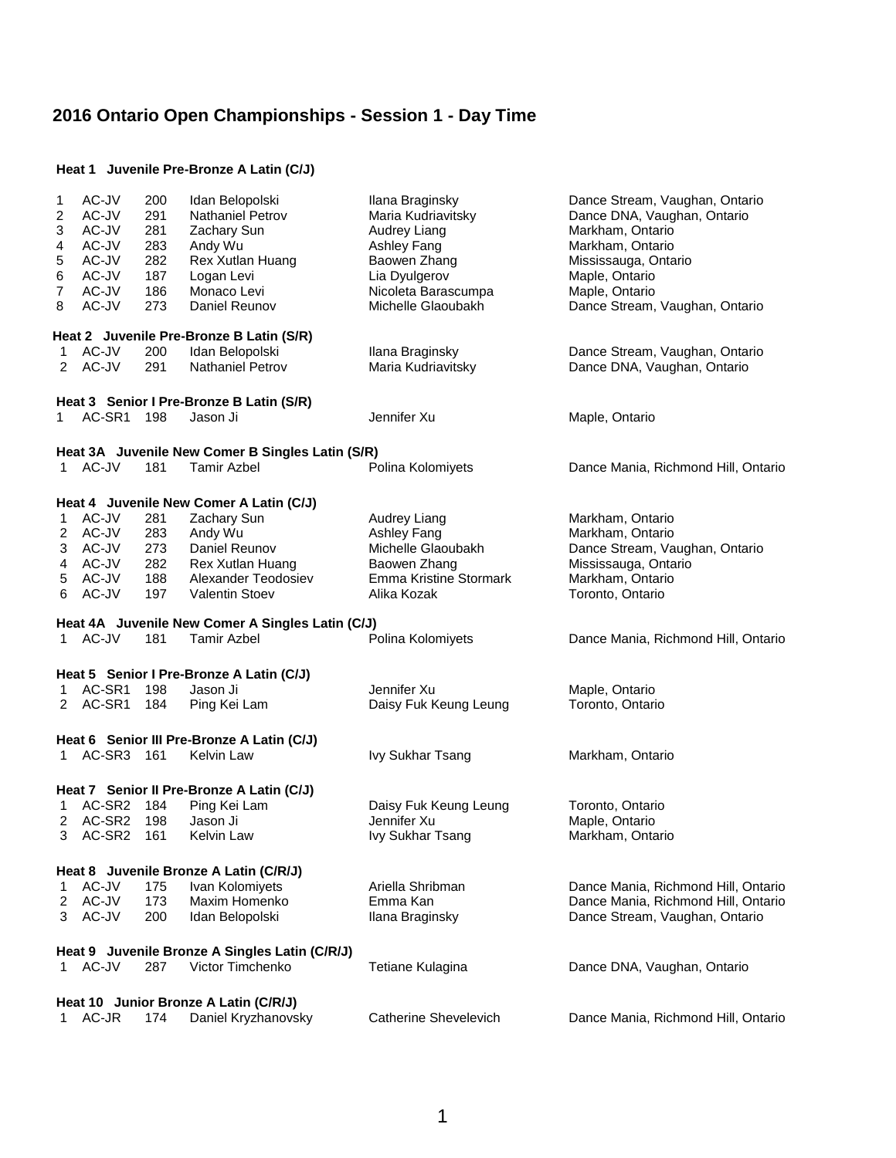#### **Heat 1 Juvenile Pre-Bronze A Latin (C/J)**

| 1<br>2<br>3<br>4<br>5<br>6<br>7<br>8 | AC-JV<br>AC-JV<br>AC-JV<br>AC-JV<br>AC-JV<br>AC-JV<br>AC-JV<br>AC-JV | 200<br>291<br>281<br>283<br>282<br>187<br>186<br>273 | Idan Belopolski<br>Nathaniel Petrov<br>Zachary Sun<br>Andy Wu<br>Rex Xutlan Huang<br>Logan Levi<br>Monaco Levi<br>Daniel Reunov<br>Heat 2 Juvenile Pre-Bronze B Latin (S/R) | Ilana Braginsky<br>Maria Kudriavitsky<br>Audrey Liang<br>Ashley Fang<br>Baowen Zhang<br>Lia Dyulgerov<br>Nicoleta Barascumpa<br>Michelle Glaoubakh | Dance Stream, Vaughan, Ontario<br>Dance DNA, Vaughan, Ontario<br>Markham, Ontario<br>Markham, Ontario<br>Mississauga, Ontario<br>Maple, Ontario<br>Maple, Ontario<br>Dance Stream, Vaughan, Ontario |  |  |  |
|--------------------------------------|----------------------------------------------------------------------|------------------------------------------------------|-----------------------------------------------------------------------------------------------------------------------------------------------------------------------------|----------------------------------------------------------------------------------------------------------------------------------------------------|-----------------------------------------------------------------------------------------------------------------------------------------------------------------------------------------------------|--|--|--|
| 1                                    | AC-JV                                                                | 200                                                  | Idan Belopolski                                                                                                                                                             | Ilana Braginsky                                                                                                                                    | Dance Stream, Vaughan, Ontario                                                                                                                                                                      |  |  |  |
| 2                                    | AC-JV                                                                | 291                                                  | <b>Nathaniel Petrov</b>                                                                                                                                                     | Maria Kudriavitsky                                                                                                                                 | Dance DNA, Vaughan, Ontario                                                                                                                                                                         |  |  |  |
|                                      | Heat 3 Senior I Pre-Bronze B Latin (S/R)                             |                                                      |                                                                                                                                                                             |                                                                                                                                                    |                                                                                                                                                                                                     |  |  |  |
| 1                                    | AC-SR1 198                                                           |                                                      | Jason Ji                                                                                                                                                                    | Jennifer Xu                                                                                                                                        | Maple, Ontario                                                                                                                                                                                      |  |  |  |
|                                      |                                                                      |                                                      | Heat 3A Juvenile New Comer B Singles Latin (S/R)                                                                                                                            |                                                                                                                                                    |                                                                                                                                                                                                     |  |  |  |
|                                      | 1 AC-JV                                                              | 181                                                  | <b>Tamir Azbel</b>                                                                                                                                                          | Polina Kolomiyets                                                                                                                                  | Dance Mania, Richmond Hill, Ontario                                                                                                                                                                 |  |  |  |
|                                      |                                                                      |                                                      |                                                                                                                                                                             |                                                                                                                                                    |                                                                                                                                                                                                     |  |  |  |
|                                      |                                                                      |                                                      | Heat 4 Juvenile New Comer A Latin (C/J)                                                                                                                                     |                                                                                                                                                    |                                                                                                                                                                                                     |  |  |  |
| 1                                    | AC-JV                                                                | 281                                                  | Zachary Sun                                                                                                                                                                 | Audrey Liang                                                                                                                                       | Markham, Ontario                                                                                                                                                                                    |  |  |  |
| 2                                    | AC-JV                                                                | 283                                                  | Andy Wu                                                                                                                                                                     | Ashley Fang                                                                                                                                        | Markham, Ontario                                                                                                                                                                                    |  |  |  |
| 3                                    | AC-JV                                                                | 273                                                  | Daniel Reunov                                                                                                                                                               | Michelle Glaoubakh                                                                                                                                 | Dance Stream, Vaughan, Ontario                                                                                                                                                                      |  |  |  |
| 4                                    | AC-JV                                                                | 282                                                  | <b>Rex Xutlan Huang</b>                                                                                                                                                     | Baowen Zhang                                                                                                                                       | Mississauga, Ontario                                                                                                                                                                                |  |  |  |
| 5                                    | AC-JV                                                                | 188                                                  | Alexander Teodosiev                                                                                                                                                         | <b>Emma Kristine Stormark</b>                                                                                                                      | Markham, Ontario                                                                                                                                                                                    |  |  |  |
| 6                                    | AC-JV                                                                | 197                                                  | <b>Valentin Stoev</b>                                                                                                                                                       | Alika Kozak                                                                                                                                        | Toronto, Ontario                                                                                                                                                                                    |  |  |  |
|                                      |                                                                      |                                                      | Heat 4A Juvenile New Comer A Singles Latin (C/J)                                                                                                                            |                                                                                                                                                    |                                                                                                                                                                                                     |  |  |  |
|                                      | 1 AC-JV                                                              | 181                                                  | <b>Tamir Azbel</b>                                                                                                                                                          | Polina Kolomiyets                                                                                                                                  | Dance Mania, Richmond Hill, Ontario                                                                                                                                                                 |  |  |  |
|                                      |                                                                      |                                                      |                                                                                                                                                                             |                                                                                                                                                    |                                                                                                                                                                                                     |  |  |  |
|                                      |                                                                      |                                                      | Heat 5 Senior I Pre-Bronze A Latin (C/J)                                                                                                                                    |                                                                                                                                                    |                                                                                                                                                                                                     |  |  |  |
| 1                                    | AC-SR1                                                               | 198                                                  | Jason Ji                                                                                                                                                                    | Jennifer Xu                                                                                                                                        | Maple, Ontario                                                                                                                                                                                      |  |  |  |
| 2                                    | AC-SR1                                                               | 184                                                  | Ping Kei Lam                                                                                                                                                                | Daisy Fuk Keung Leung                                                                                                                              | Toronto, Ontario                                                                                                                                                                                    |  |  |  |
|                                      |                                                                      |                                                      | Heat 6 Senior III Pre-Bronze A Latin (C/J)                                                                                                                                  |                                                                                                                                                    |                                                                                                                                                                                                     |  |  |  |
| $1 \quad$                            | AC-SR3 161                                                           |                                                      | <b>Kelvin Law</b>                                                                                                                                                           | Ivy Sukhar Tsang                                                                                                                                   | Markham, Ontario                                                                                                                                                                                    |  |  |  |
|                                      |                                                                      |                                                      |                                                                                                                                                                             |                                                                                                                                                    |                                                                                                                                                                                                     |  |  |  |
|                                      |                                                                      |                                                      | Heat 7 Senior II Pre-Bronze A Latin (C/J)                                                                                                                                   |                                                                                                                                                    |                                                                                                                                                                                                     |  |  |  |
| 1                                    | AC-SR2                                                               | 184                                                  | Ping Kei Lam                                                                                                                                                                | Daisy Fuk Keung Leung                                                                                                                              | Toronto, Ontario                                                                                                                                                                                    |  |  |  |
| 2                                    | AC-SR2 198                                                           |                                                      | Jason Ji                                                                                                                                                                    | Jennifer Xu                                                                                                                                        | Maple, Ontario                                                                                                                                                                                      |  |  |  |
| 3                                    | AC-SR2                                                               | 161                                                  | <b>Kelvin Law</b>                                                                                                                                                           | Ivy Sukhar Tsang                                                                                                                                   | Markham, Ontario                                                                                                                                                                                    |  |  |  |
|                                      |                                                                      |                                                      |                                                                                                                                                                             |                                                                                                                                                    |                                                                                                                                                                                                     |  |  |  |
|                                      |                                                                      |                                                      | Heat 8 Juvenile Bronze A Latin (C/R/J)                                                                                                                                      |                                                                                                                                                    |                                                                                                                                                                                                     |  |  |  |
| 1                                    | AC-JV                                                                | 175                                                  | Ivan Kolomiyets                                                                                                                                                             | Ariella Shribman                                                                                                                                   | Dance Mania, Richmond Hill, Ontario                                                                                                                                                                 |  |  |  |
| 2                                    | AC-JV                                                                | 173                                                  | Maxim Homenko                                                                                                                                                               | Emma Kan                                                                                                                                           | Dance Mania, Richmond Hill, Ontario                                                                                                                                                                 |  |  |  |
| 3.                                   | AC-JV                                                                | 200                                                  | Idan Belopolski                                                                                                                                                             | Ilana Braginsky                                                                                                                                    | Dance Stream, Vaughan, Ontario                                                                                                                                                                      |  |  |  |
|                                      |                                                                      |                                                      | Heat 9 Juvenile Bronze A Singles Latin (C/R/J)                                                                                                                              |                                                                                                                                                    |                                                                                                                                                                                                     |  |  |  |
|                                      | 1 AC-JV                                                              | 287                                                  | Victor Timchenko                                                                                                                                                            | Tetiane Kulagina                                                                                                                                   | Dance DNA, Vaughan, Ontario                                                                                                                                                                         |  |  |  |
|                                      |                                                                      |                                                      |                                                                                                                                                                             |                                                                                                                                                    |                                                                                                                                                                                                     |  |  |  |
|                                      |                                                                      |                                                      | Heat 10 Junior Bronze A Latin (C/R/J)                                                                                                                                       |                                                                                                                                                    |                                                                                                                                                                                                     |  |  |  |
| 1.                                   | AC-JR                                                                | 174                                                  | Daniel Kryzhanovsky                                                                                                                                                         | <b>Catherine Shevelevich</b>                                                                                                                       | Dance Mania, Richmond Hill, Ontario                                                                                                                                                                 |  |  |  |
|                                      |                                                                      |                                                      |                                                                                                                                                                             |                                                                                                                                                    |                                                                                                                                                                                                     |  |  |  |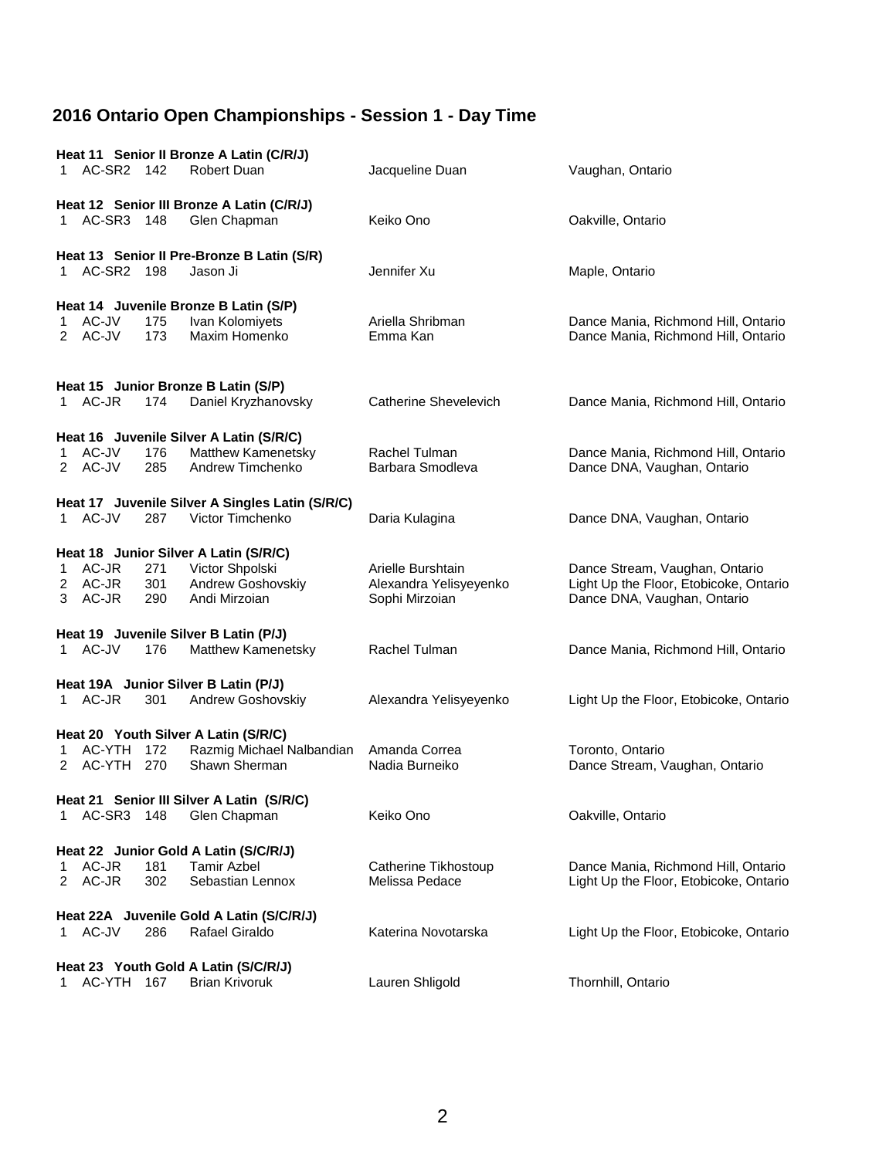| Heat 11 Senior II Bronze A Latin (C/R/J) |                  |            |                                                        |                                          |                                                                               |
|------------------------------------------|------------------|------------|--------------------------------------------------------|------------------------------------------|-------------------------------------------------------------------------------|
|                                          | 1 AC-SR2 142     |            | Robert Duan                                            | Jacqueline Duan                          | Vaughan, Ontario                                                              |
|                                          |                  |            | Heat 12 Senior III Bronze A Latin (C/R/J)              |                                          |                                                                               |
|                                          | 1 AC-SR3 148     |            | Glen Chapman                                           | Keiko Ono                                | Oakville, Ontario                                                             |
|                                          | 1 AC-SR2 198     |            | Heat 13 Senior II Pre-Bronze B Latin (S/R)<br>Jason Ji | Jennifer Xu                              | Maple, Ontario                                                                |
|                                          |                  |            |                                                        |                                          |                                                                               |
|                                          |                  |            | Heat 14 Juvenile Bronze B Latin (S/P)                  |                                          |                                                                               |
| 1.                                       | AC-JV            | 175        | Ivan Kolomiyets                                        | Ariella Shribman                         | Dance Mania, Richmond Hill, Ontario                                           |
|                                          | 2 AC-JV          | 173        | Maxim Homenko                                          | Emma Kan                                 | Dance Mania, Richmond Hill, Ontario                                           |
|                                          |                  |            | Heat 15 Junior Bronze B Latin (S/P)                    |                                          |                                                                               |
|                                          | 1 AC-JR          | 174        | Daniel Kryzhanovsky                                    | Catherine Shevelevich                    | Dance Mania, Richmond Hill, Ontario                                           |
|                                          |                  |            | Heat 16 Juvenile Silver A Latin (S/R/C)                |                                          |                                                                               |
| 1.                                       | AC-JV            | 176        | Matthew Kamenetsky                                     | Rachel Tulman                            | Dance Mania, Richmond Hill, Ontario                                           |
|                                          | 2 AC-JV          | 285        | Andrew Timchenko                                       | Barbara Smodleva                         | Dance DNA, Vaughan, Ontario                                                   |
|                                          |                  |            | Heat 17 Juvenile Silver A Singles Latin (S/R/C)        |                                          |                                                                               |
|                                          | 1 AC-JV          | 287        | Victor Timchenko                                       | Daria Kulagina                           | Dance DNA, Vaughan, Ontario                                                   |
|                                          |                  |            | Heat 18 Junior Silver A Latin (S/R/C)                  |                                          |                                                                               |
| 1                                        | AC-JR            | 271        | Victor Shpolski                                        | Arielle Burshtain                        | Dance Stream, Vaughan, Ontario                                                |
| 3                                        | 2 AC-JR<br>AC-JR | 301<br>290 | Andrew Goshovskiy<br>Andi Mirzoian                     | Alexandra Yelisyeyenko<br>Sophi Mirzoian | Light Up the Floor, Etobicoke, Ontario<br>Dance DNA, Vaughan, Ontario         |
|                                          |                  |            | Heat 19 Juvenile Silver B Latin (P/J)                  |                                          |                                                                               |
|                                          | 1 AC-JV          | 176        | Matthew Kamenetsky                                     | Rachel Tulman                            | Dance Mania, Richmond Hill, Ontario                                           |
|                                          |                  |            | Heat 19A Junior Silver B Latin (P/J)                   |                                          |                                                                               |
|                                          | 1 AC-JR          | 301        | Andrew Goshovskiy                                      | Alexandra Yelisyeyenko                   | Light Up the Floor, Etobicoke, Ontario                                        |
|                                          |                  |            | Heat 20 Youth Silver A Latin (S/R/C)                   |                                          |                                                                               |
| 1                                        | AC-YTH 172       |            | Razmig Michael Nalbandian                              | Amanda Correa                            | Toronto, Ontario                                                              |
|                                          | 2 AC-YTH 270     |            | Shawn Sherman                                          | Nadia Burneiko                           | Dance Stream, Vaughan, Ontario                                                |
|                                          |                  |            | Heat 21 Senior III Silver A Latin (S/R/C)              |                                          |                                                                               |
|                                          | 1 AC-SR3 148     |            | Glen Chapman                                           | Keiko Ono                                | Oakville, Ontario                                                             |
|                                          |                  |            |                                                        |                                          |                                                                               |
|                                          |                  |            | Heat 22 Junior Gold A Latin (S/C/R/J)                  |                                          |                                                                               |
| 2                                        | AC-JR<br>AC-JR   | 181<br>302 | <b>Tamir Azbel</b><br>Sebastian Lennox                 | Catherine Tikhostoup<br>Melissa Pedace   | Dance Mania, Richmond Hill, Ontario<br>Light Up the Floor, Etobicoke, Ontario |
|                                          |                  |            | Heat 22A Juvenile Gold A Latin (S/C/R/J)               |                                          |                                                                               |
| 1                                        | AC-JV            | 286        | <b>Rafael Giraldo</b>                                  | Katerina Novotarska                      | Light Up the Floor, Etobicoke, Ontario                                        |
|                                          |                  |            | Heat 23 Youth Gold A Latin (S/C/R/J)                   |                                          |                                                                               |
| 1.                                       | AC-YTH           | 167        | <b>Brian Krivoruk</b>                                  | Lauren Shligold                          | Thornhill, Ontario                                                            |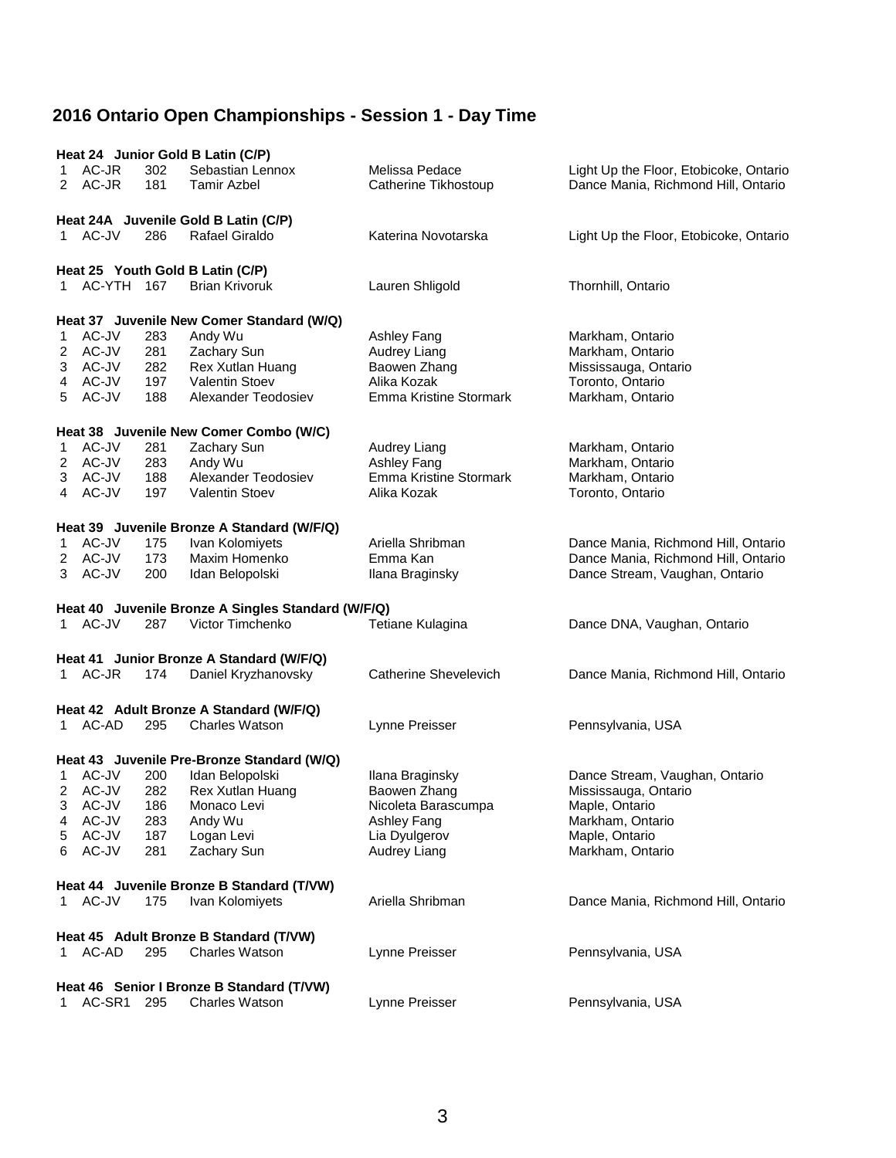| Heat 24 Junior Gold B Latin (C/P) |              |     |                                                                    |                              |                                        |  |  |  |
|-----------------------------------|--------------|-----|--------------------------------------------------------------------|------------------------------|----------------------------------------|--|--|--|
|                                   | 1 AC-JR      | 302 | Sebastian Lennox                                                   | Melissa Pedace               | Light Up the Floor, Etobicoke, Ontario |  |  |  |
|                                   | 2 AC-JR      | 181 | Tamir Azbel                                                        | Catherine Tikhostoup         | Dance Mania, Richmond Hill, Ontario    |  |  |  |
|                                   |              |     |                                                                    |                              |                                        |  |  |  |
|                                   |              |     | Heat 24A Juvenile Gold B Latin (C/P)                               |                              |                                        |  |  |  |
|                                   | 1 AC-JV      | 286 | Rafael Giraldo                                                     | Katerina Novotarska          | Light Up the Floor, Etobicoke, Ontario |  |  |  |
|                                   |              |     |                                                                    |                              |                                        |  |  |  |
|                                   |              |     | Heat 25 Youth Gold B Latin (C/P)                                   |                              |                                        |  |  |  |
|                                   | 1 AC-YTH 167 |     | <b>Brian Krivoruk</b>                                              | Lauren Shligold              | Thornhill, Ontario                     |  |  |  |
|                                   |              |     |                                                                    |                              |                                        |  |  |  |
|                                   |              |     |                                                                    |                              |                                        |  |  |  |
|                                   |              |     | Heat 37 Juvenile New Comer Standard (W/Q)                          |                              |                                        |  |  |  |
| 1.                                | AC-JV        | 283 | Andy Wu                                                            | Ashley Fang                  | Markham, Ontario                       |  |  |  |
| 2                                 | AC-JV        | 281 | Zachary Sun                                                        | Audrey Liang                 | Markham, Ontario                       |  |  |  |
| 3                                 | AC-JV        | 282 | Rex Xutlan Huang                                                   | Baowen Zhang                 | Mississauga, Ontario                   |  |  |  |
| 4                                 | AC-JV        | 197 | <b>Valentin Stoev</b>                                              | Alika Kozak                  | Toronto, Ontario                       |  |  |  |
| 5                                 | AC-JV        | 188 | Alexander Teodosiev                                                | Emma Kristine Stormark       | Markham, Ontario                       |  |  |  |
|                                   |              |     |                                                                    |                              |                                        |  |  |  |
|                                   |              |     | Heat 38 Juvenile New Comer Combo (W/C)                             |                              |                                        |  |  |  |
| 1                                 | AC-JV        | 281 | Zachary Sun                                                        | <b>Audrey Liang</b>          | Markham, Ontario                       |  |  |  |
| 2                                 | AC-JV        | 283 | Andy Wu                                                            | Ashley Fang                  | Markham, Ontario                       |  |  |  |
| 3                                 | AC-JV        | 188 | Alexander Teodosiev                                                | Emma Kristine Stormark       | Markham, Ontario                       |  |  |  |
|                                   | 4 AC-JV      | 197 | <b>Valentin Stoev</b>                                              | Alika Kozak                  | Toronto, Ontario                       |  |  |  |
|                                   |              |     |                                                                    |                              |                                        |  |  |  |
|                                   |              |     | Heat 39 Juvenile Bronze A Standard (W/F/Q)                         |                              |                                        |  |  |  |
| 1                                 | AC-JV        | 175 | Ivan Kolomiyets                                                    | Ariella Shribman             | Dance Mania, Richmond Hill, Ontario    |  |  |  |
| 2                                 | AC-JV        | 173 | Maxim Homenko                                                      | Emma Kan                     | Dance Mania, Richmond Hill, Ontario    |  |  |  |
|                                   | 3 AC-JV      | 200 | Idan Belopolski                                                    | Ilana Braginsky              | Dance Stream, Vaughan, Ontario         |  |  |  |
|                                   |              |     |                                                                    |                              |                                        |  |  |  |
|                                   |              |     | Heat 40 Juvenile Bronze A Singles Standard (W/F/Q)                 |                              |                                        |  |  |  |
|                                   | 1 AC-JV      | 287 | Victor Timchenko                                                   | Tetiane Kulagina             | Dance DNA, Vaughan, Ontario            |  |  |  |
|                                   |              |     |                                                                    |                              |                                        |  |  |  |
|                                   |              |     | Heat 41 Junior Bronze A Standard (W/F/Q)                           |                              |                                        |  |  |  |
|                                   | 1 AC-JR      | 174 | Daniel Kryzhanovsky                                                | <b>Catherine Shevelevich</b> |                                        |  |  |  |
|                                   |              |     |                                                                    |                              | Dance Mania, Richmond Hill, Ontario    |  |  |  |
|                                   |              |     |                                                                    |                              |                                        |  |  |  |
|                                   |              |     | Heat 42 Adult Bronze A Standard (W/F/Q)                            |                              |                                        |  |  |  |
|                                   | 1 AC-AD      | 295 | <b>Charles Watson</b>                                              | Lynne Preisser               | Pennsylvania, USA                      |  |  |  |
|                                   |              |     |                                                                    |                              |                                        |  |  |  |
|                                   |              |     | Heat 43 Juvenile Pre-Bronze Standard (W/Q)                         |                              |                                        |  |  |  |
|                                   | 1 AC-JV      | 200 | Idan Belopolski                                                    | Ilana Braginsky              | Dance Stream, Vaughan, Ontario         |  |  |  |
|                                   | 2 AC-JV      | 282 | <b>Rex Xutlan Huang</b>                                            | Baowen Zhang                 | Mississauga, Ontario                   |  |  |  |
| 3                                 | AC-JV        | 186 | Monaco Levi                                                        | Nicoleta Barascumpa          | Maple, Ontario                         |  |  |  |
| 4                                 | AC-JV        | 283 | Andy Wu                                                            | Ashley Fang                  | Markham, Ontario                       |  |  |  |
| 5                                 | AC-JV        | 187 | Logan Levi                                                         | Lia Dyulgerov                | Maple, Ontario                         |  |  |  |
| 6                                 |              |     |                                                                    |                              |                                        |  |  |  |
|                                   | AC-JV        | 281 | Zachary Sun                                                        | Audrey Liang                 | Markham, Ontario                       |  |  |  |
|                                   |              |     |                                                                    |                              |                                        |  |  |  |
|                                   |              |     |                                                                    |                              |                                        |  |  |  |
|                                   | 1 AC-JV      | 175 | Heat 44 Juvenile Bronze B Standard (T/VW)                          |                              |                                        |  |  |  |
|                                   |              |     | Ivan Kolomiyets                                                    | Ariella Shribman             | Dance Mania, Richmond Hill, Ontario    |  |  |  |
|                                   |              |     |                                                                    |                              |                                        |  |  |  |
|                                   |              |     | Heat 45 Adult Bronze B Standard (T/VW)                             |                              |                                        |  |  |  |
|                                   | 1 AC-AD      | 295 | <b>Charles Watson</b>                                              | Lynne Preisser               | Pennsylvania, USA                      |  |  |  |
|                                   |              |     |                                                                    |                              |                                        |  |  |  |
| 1.                                | AC-SR1       | 295 | Heat 46 Senior I Bronze B Standard (T/VW)<br><b>Charles Watson</b> | Lynne Preisser               | Pennsylvania, USA                      |  |  |  |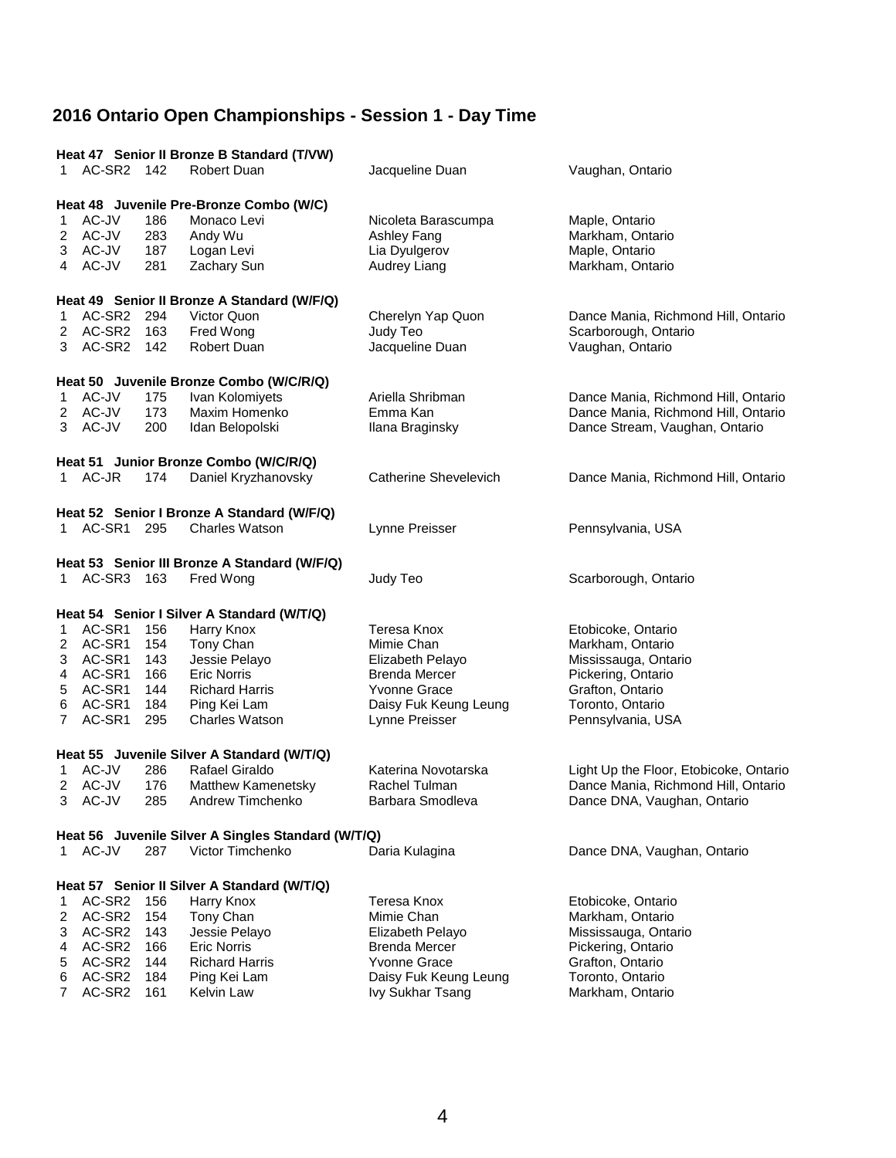|                | Heat 47 Senior II Bronze B Standard (T/VW)                 |     |                                                    |                       |                                        |  |  |  |  |
|----------------|------------------------------------------------------------|-----|----------------------------------------------------|-----------------------|----------------------------------------|--|--|--|--|
|                | 1 AC-SR2 142                                               |     | Robert Duan                                        | Jacqueline Duan       | Vaughan, Ontario                       |  |  |  |  |
|                | Heat 48 Juvenile Pre-Bronze Combo (W/C)                    |     |                                                    |                       |                                        |  |  |  |  |
|                | 1 AC-JV                                                    | 186 | Monaco Levi                                        | Nicoleta Barascumpa   | Maple, Ontario                         |  |  |  |  |
|                | 2 AC-JV                                                    | 283 | Andy Wu                                            | Ashley Fang           | Markham, Ontario                       |  |  |  |  |
|                | 3 AC-JV                                                    | 187 | Logan Levi                                         | Lia Dyulgerov         | Maple, Ontario                         |  |  |  |  |
|                |                                                            | 281 |                                                    |                       |                                        |  |  |  |  |
|                | 4 AC-JV<br>Zachary Sun<br>Audrey Liang<br>Markham, Ontario |     |                                                    |                       |                                        |  |  |  |  |
|                | Heat 49 Senior II Bronze A Standard (W/F/Q)                |     |                                                    |                       |                                        |  |  |  |  |
| 1              | AC-SR2 294                                                 |     | Victor Quon                                        | Cherelyn Yap Quon     | Dance Mania, Richmond Hill, Ontario    |  |  |  |  |
| 2              | AC-SR2 163                                                 |     | Fred Wong                                          | Judy Teo              | Scarborough, Ontario                   |  |  |  |  |
|                | 3 AC-SR2 142                                               |     | Robert Duan                                        | Jacqueline Duan       | Vaughan, Ontario                       |  |  |  |  |
|                |                                                            |     |                                                    |                       |                                        |  |  |  |  |
|                |                                                            |     | Heat 50 Juvenile Bronze Combo (W/C/R/Q)            |                       |                                        |  |  |  |  |
|                | 1 AC-JV                                                    | 175 | Ivan Kolomiyets                                    | Ariella Shribman      | Dance Mania, Richmond Hill, Ontario    |  |  |  |  |
|                | 2 AC-JV                                                    | 173 | Maxim Homenko                                      | Emma Kan              | Dance Mania, Richmond Hill, Ontario    |  |  |  |  |
|                | 3 AC-JV                                                    | 200 | Idan Belopolski                                    | Ilana Braginsky       | Dance Stream, Vaughan, Ontario         |  |  |  |  |
|                |                                                            |     |                                                    |                       |                                        |  |  |  |  |
|                |                                                            |     | Heat 51 Junior Bronze Combo (W/C/R/Q)              |                       |                                        |  |  |  |  |
|                | 1 AC-JR                                                    | 174 | Daniel Kryzhanovsky                                | Catherine Shevelevich | Dance Mania, Richmond Hill, Ontario    |  |  |  |  |
|                |                                                            |     | Heat 52 Senior I Bronze A Standard (W/F/Q)         |                       |                                        |  |  |  |  |
|                | 1 AC-SR1 295                                               |     | <b>Charles Watson</b>                              | Lynne Preisser        | Pennsylvania, USA                      |  |  |  |  |
|                |                                                            |     |                                                    |                       |                                        |  |  |  |  |
|                |                                                            |     | Heat 53 Senior III Bronze A Standard (W/F/Q)       |                       |                                        |  |  |  |  |
|                | 1 AC-SR3 163                                               |     | Fred Wong                                          | Judy Teo              | Scarborough, Ontario                   |  |  |  |  |
|                |                                                            |     | Heat 54 Senior I Silver A Standard (W/T/Q)         |                       |                                        |  |  |  |  |
| 1              | AC-SR1                                                     | 156 | Harry Knox                                         | Teresa Knox           | Etobicoke, Ontario                     |  |  |  |  |
|                | 2 AC-SR1                                                   | 154 |                                                    | Mimie Chan            |                                        |  |  |  |  |
|                |                                                            |     | Tony Chan                                          |                       | Markham, Ontario                       |  |  |  |  |
|                | 3 AC-SR1                                                   | 143 | Jessie Pelayo                                      | Elizabeth Pelayo      | Mississauga, Ontario                   |  |  |  |  |
| 4              | AC-SR1                                                     | 166 | <b>Eric Norris</b>                                 | <b>Brenda Mercer</b>  | Pickering, Ontario                     |  |  |  |  |
| 5              | AC-SR1                                                     | 144 | <b>Richard Harris</b>                              | <b>Yvonne Grace</b>   | Grafton, Ontario                       |  |  |  |  |
| 6              | AC-SR1                                                     | 184 | Ping Kei Lam                                       | Daisy Fuk Keung Leung | Toronto, Ontario                       |  |  |  |  |
| $7^{\circ}$    | AC-SR1                                                     | 295 | Charles Watson                                     | Lynne Preisser        | Pennsylvania, USA                      |  |  |  |  |
|                |                                                            |     | Heat 55 Juvenile Silver A Standard (W/T/Q)         |                       |                                        |  |  |  |  |
| 1.             | AC-JV                                                      | 286 | Rafael Giraldo                                     | Katerina Novotarska   | Light Up the Floor, Etobicoke, Ontario |  |  |  |  |
|                | 2 AC-JV                                                    | 176 | <b>Matthew Kamenetsky</b>                          | Rachel Tulman         | Dance Mania, Richmond Hill, Ontario    |  |  |  |  |
|                | 3 AC-JV                                                    |     | 285 Andrew Timchenko                               | Barbara Smodleva      | Dance DNA, Vaughan, Ontario            |  |  |  |  |
|                |                                                            |     |                                                    |                       |                                        |  |  |  |  |
|                |                                                            |     | Heat 56 Juvenile Silver A Singles Standard (W/T/Q) |                       |                                        |  |  |  |  |
|                | 1 AC-JV                                                    | 287 | Victor Timchenko                                   | Daria Kulagina        | Dance DNA, Vaughan, Ontario            |  |  |  |  |
|                |                                                            |     | Heat 57 Senior II Silver A Standard (W/T/Q)        |                       |                                        |  |  |  |  |
| 1              | AC-SR2                                                     | 156 | Harry Knox                                         | Teresa Knox           | Etobicoke, Ontario                     |  |  |  |  |
| 2              | AC-SR2                                                     | 154 | Tony Chan                                          | Mimie Chan            | Markham, Ontario                       |  |  |  |  |
| 3              | AC-SR2                                                     | 143 | Jessie Pelayo                                      | Elizabeth Pelayo      | Mississauga, Ontario                   |  |  |  |  |
| 4              | AC-SR2 166                                                 |     | <b>Eric Norris</b>                                 | <b>Brenda Mercer</b>  | Pickering, Ontario                     |  |  |  |  |
| 5              | AC-SR2 144                                                 |     | <b>Richard Harris</b>                              | <b>Yvonne Grace</b>   | Grafton, Ontario                       |  |  |  |  |
| 6              | AC-SR2 184                                                 |     | Ping Kei Lam                                       | Daisy Fuk Keung Leung | Toronto, Ontario                       |  |  |  |  |
| $\overline{7}$ | AC-SR2                                                     | 161 | Kelvin Law                                         |                       | Markham, Ontario                       |  |  |  |  |
|                |                                                            |     |                                                    | Ivy Sukhar Tsang      |                                        |  |  |  |  |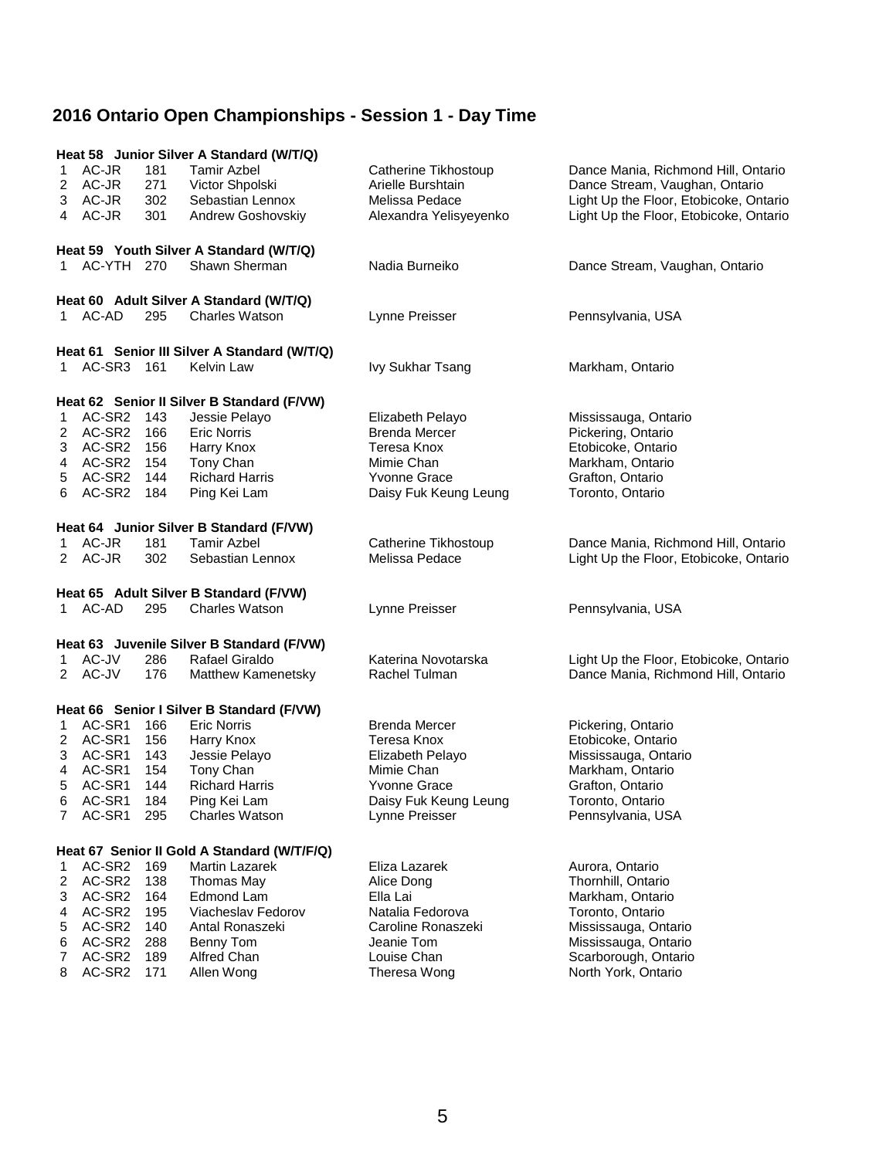|        | Heat 58 Junior Silver A Standard (W/T/Q) |            |                                                             |                                          |                                            |  |  |
|--------|------------------------------------------|------------|-------------------------------------------------------------|------------------------------------------|--------------------------------------------|--|--|
| 1      | AC-JR                                    | 181        | <b>Tamir Azbel</b>                                          | Catherine Tikhostoup                     | Dance Mania, Richmond Hill, Ontario        |  |  |
|        | 2 AC-JR                                  | 271        | Victor Shpolski                                             | Arielle Burshtain                        | Dance Stream, Vaughan, Ontario             |  |  |
| 3      | AC-JR                                    | 302        | Sebastian Lennox                                            | Melissa Pedace                           | Light Up the Floor, Etobicoke, Ontario     |  |  |
|        | 4 AC-JR                                  | 301        | Andrew Goshovskiy                                           | Alexandra Yelisyeyenko                   | Light Up the Floor, Etobicoke, Ontario     |  |  |
|        |                                          |            | Heat 59 Youth Silver A Standard (W/T/Q)                     |                                          |                                            |  |  |
|        | 1 AC-YTH 270                             |            | Shawn Sherman                                               | Nadia Burneiko                           | Dance Stream, Vaughan, Ontario             |  |  |
|        |                                          |            |                                                             |                                          |                                            |  |  |
|        |                                          |            | Heat 60 Adult Silver A Standard (W/T/Q)                     |                                          |                                            |  |  |
|        | 1 AC-AD                                  | 295        | <b>Charles Watson</b>                                       | Lynne Preisser                           | Pennsylvania, USA                          |  |  |
|        |                                          |            | Heat 61 Senior III Silver A Standard (W/T/Q)                |                                          |                                            |  |  |
|        | 1 AC-SR3 161                             |            | <b>Kelvin Law</b>                                           | Ivy Sukhar Tsang                         | Markham, Ontario                           |  |  |
|        |                                          |            |                                                             |                                          |                                            |  |  |
| 1.     | AC-SR2 143                               |            | Heat 62 Senior II Silver B Standard (F/VW)<br>Jessie Pelayo |                                          |                                            |  |  |
|        | 2 AC-SR2 166                             |            | <b>Eric Norris</b>                                          | Elizabeth Pelayo<br><b>Brenda Mercer</b> | Mississauga, Ontario<br>Pickering, Ontario |  |  |
| 3      | AC-SR2 156                               |            | Harry Knox                                                  | Teresa Knox                              | Etobicoke, Ontario                         |  |  |
| 4      | AC-SR2 154                               |            | Tony Chan                                                   | Mimie Chan                               | Markham, Ontario                           |  |  |
| 5      | AC-SR2 144                               |            | <b>Richard Harris</b>                                       | <b>Yvonne Grace</b>                      | Grafton, Ontario                           |  |  |
|        | 6 AC-SR2 184                             |            | Ping Kei Lam                                                | Daisy Fuk Keung Leung                    | Toronto, Ontario                           |  |  |
|        |                                          |            |                                                             |                                          |                                            |  |  |
|        |                                          |            | Heat 64 Junior Silver B Standard (F/VW)                     |                                          |                                            |  |  |
| 1.     | AC-JR                                    | 181        | <b>Tamir Azbel</b>                                          | Catherine Tikhostoup                     | Dance Mania, Richmond Hill, Ontario        |  |  |
|        | 2 AC-JR                                  | 302        | Sebastian Lennox                                            | Melissa Pedace                           | Light Up the Floor, Etobicoke, Ontario     |  |  |
|        |                                          |            | Heat 65 Adult Silver B Standard (F/VW)                      |                                          |                                            |  |  |
|        | 1 AC-AD                                  | 295        | <b>Charles Watson</b>                                       | Lynne Preisser                           | Pennsylvania, USA                          |  |  |
|        |                                          |            | Heat 63 Juvenile Silver B Standard (F/VW)                   |                                          |                                            |  |  |
|        | 1 AC-JV                                  | 286        | Rafael Giraldo                                              | Katerina Novotarska                      | Light Up the Floor, Etobicoke, Ontario     |  |  |
|        | 2 AC-JV                                  | 176        | Matthew Kamenetsky                                          | Rachel Tulman                            | Dance Mania, Richmond Hill, Ontario        |  |  |
|        |                                          |            |                                                             |                                          |                                            |  |  |
|        |                                          |            | Heat 66 Senior I Silver B Standard (F/VW)                   |                                          |                                            |  |  |
| 1      | AC-SR1                                   | 166        | <b>Eric Norris</b>                                          | <b>Brenda Mercer</b>                     | Pickering, Ontario                         |  |  |
|        | 2 AC-SR1                                 | 156        | Harry Knox                                                  | Teresa Knox                              | Etobicoke, Ontario                         |  |  |
| 3      | AC-SR1 143                               |            | Jessie Pelayo                                               | Elizabeth Pelayo                         | Mississauga, Ontario                       |  |  |
| 4      | AC-SR1<br>AC-SR1                         | 154<br>144 | Tony Chan<br><b>Richard Harris</b>                          | Mimie Chan<br><b>Yvonne Grace</b>        | Markham, Ontario                           |  |  |
| 5      | 6 AC-SR1 184                             |            |                                                             |                                          | Grafton, Ontario                           |  |  |
| 7      | AC-SR1 295                               |            | Ping Kei Lam<br><b>Charles Watson</b>                       | Daisy Fuk Keung Leung<br>Lynne Preisser  | Toronto, Ontario<br>Pennsylvania, USA      |  |  |
|        |                                          |            |                                                             |                                          |                                            |  |  |
|        |                                          |            | Heat 67 Senior II Gold A Standard (W/T/F/Q)                 |                                          |                                            |  |  |
| 1      | AC-SR2                                   | 169        | <b>Martin Lazarek</b>                                       | Eliza Lazarek                            | Aurora, Ontario                            |  |  |
| 2      | AC-SR2                                   | 138        | Thomas May                                                  | Alice Dong                               | Thornhill, Ontario                         |  |  |
| 3      | AC-SR2                                   | 164        | Edmond Lam                                                  | Ella Lai                                 | Markham, Ontario                           |  |  |
| 4      | AC-SR2                                   | 195        | Viacheslav Fedorov                                          | Natalia Fedorova                         | Toronto, Ontario                           |  |  |
| 5      | AC-SR2                                   | 140        | Antal Ronaszeki                                             | Caroline Ronaszeki                       | Mississauga, Ontario                       |  |  |
| 6      | AC-SR2 288                               |            | Benny Tom                                                   | Jeanie Tom                               | Mississauga, Ontario                       |  |  |
| 7<br>8 | AC-SR2 189<br>AC-SR2                     |            | Alfred Chan                                                 | Louise Chan                              | Scarborough, Ontario                       |  |  |
|        |                                          | 171        | Allen Wong                                                  | Theresa Wong                             | North York, Ontario                        |  |  |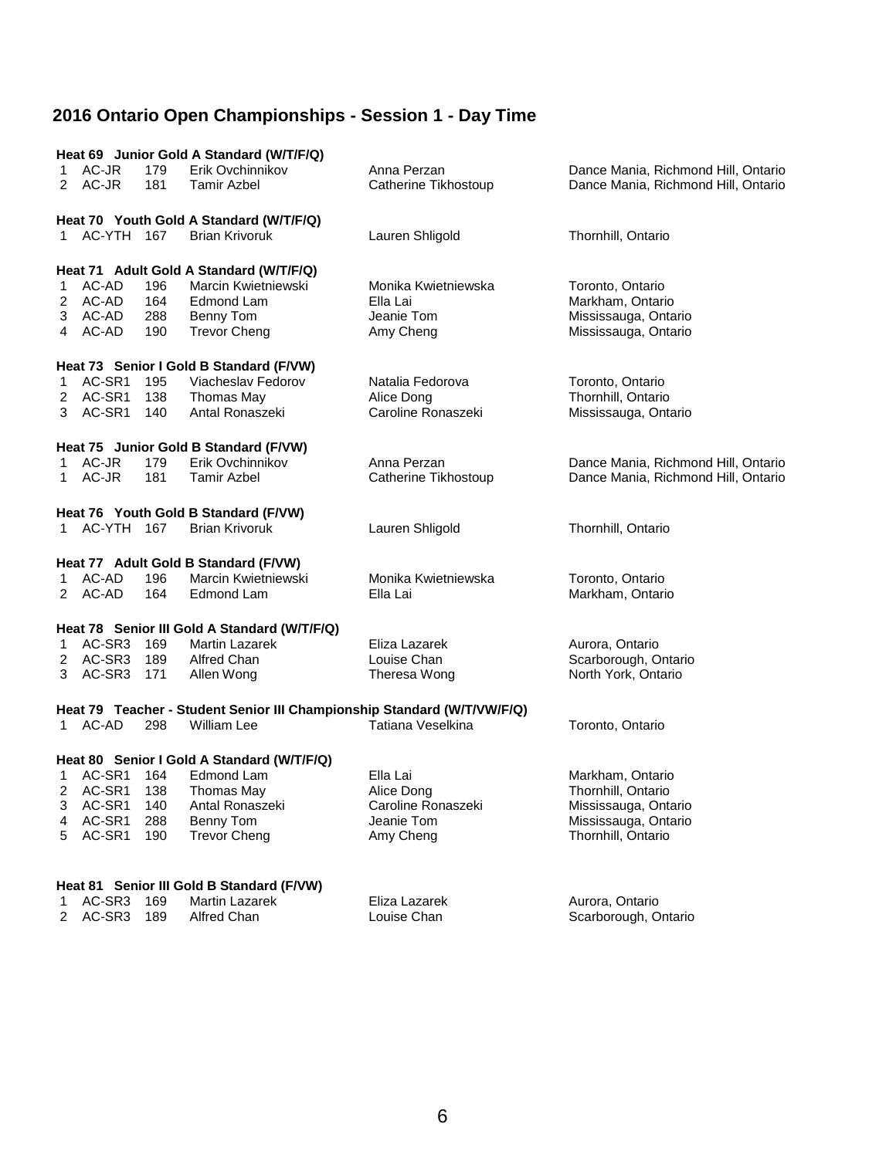| Heat 69 Junior Gold A Standard (W/T/F/Q)<br>Erik Ovchinnikov<br>AC-JR<br>179<br>Anna Perzan<br>Dance Mania, Richmond Hill, Ontario<br>1.<br>2 AC-JR<br>181<br>Dance Mania, Richmond Hill, Ontario<br>Tamir Azbel<br>Catherine Tikhostoup<br>Heat 70 Youth Gold A Standard (W/T/F/Q)<br>1 AC-YTH 167<br><b>Brian Krivoruk</b><br>Lauren Shligold<br>Thornhill, Ontario<br>Heat 71 Adult Gold A Standard (W/T/F/Q)<br>AC-AD<br>Marcin Kwietniewski<br>Monika Kwietniewska<br>196<br>Toronto, Ontario<br>1<br>2 AC-AD<br>Edmond Lam<br>Markham, Ontario<br>164<br>Ella Lai<br>Jeanie Tom<br>3 AC-AD<br>288<br>Benny Tom<br>Mississauga, Ontario<br>4 AC-AD<br>190<br><b>Trevor Cheng</b><br>Amy Cheng<br>Mississauga, Ontario<br>Heat 73 Senior I Gold B Standard (F/VW)<br>AC-SR1<br>Viacheslav Fedorov<br>195<br>Natalia Fedorova<br>Toronto, Ontario<br>1<br>AC-SR1<br>138<br>Thornhill, Ontario<br>Thomas May<br>Alice Dong<br>2<br>AC-SR1<br>Caroline Ronaszeki<br>140<br>Antal Ronaszeki<br>Mississauga, Ontario<br>3. |  |
|---------------------------------------------------------------------------------------------------------------------------------------------------------------------------------------------------------------------------------------------------------------------------------------------------------------------------------------------------------------------------------------------------------------------------------------------------------------------------------------------------------------------------------------------------------------------------------------------------------------------------------------------------------------------------------------------------------------------------------------------------------------------------------------------------------------------------------------------------------------------------------------------------------------------------------------------------------------------------------------------------------------------------|--|
|                                                                                                                                                                                                                                                                                                                                                                                                                                                                                                                                                                                                                                                                                                                                                                                                                                                                                                                                                                                                                           |  |
|                                                                                                                                                                                                                                                                                                                                                                                                                                                                                                                                                                                                                                                                                                                                                                                                                                                                                                                                                                                                                           |  |
|                                                                                                                                                                                                                                                                                                                                                                                                                                                                                                                                                                                                                                                                                                                                                                                                                                                                                                                                                                                                                           |  |
|                                                                                                                                                                                                                                                                                                                                                                                                                                                                                                                                                                                                                                                                                                                                                                                                                                                                                                                                                                                                                           |  |
|                                                                                                                                                                                                                                                                                                                                                                                                                                                                                                                                                                                                                                                                                                                                                                                                                                                                                                                                                                                                                           |  |
|                                                                                                                                                                                                                                                                                                                                                                                                                                                                                                                                                                                                                                                                                                                                                                                                                                                                                                                                                                                                                           |  |
|                                                                                                                                                                                                                                                                                                                                                                                                                                                                                                                                                                                                                                                                                                                                                                                                                                                                                                                                                                                                                           |  |
|                                                                                                                                                                                                                                                                                                                                                                                                                                                                                                                                                                                                                                                                                                                                                                                                                                                                                                                                                                                                                           |  |
|                                                                                                                                                                                                                                                                                                                                                                                                                                                                                                                                                                                                                                                                                                                                                                                                                                                                                                                                                                                                                           |  |
|                                                                                                                                                                                                                                                                                                                                                                                                                                                                                                                                                                                                                                                                                                                                                                                                                                                                                                                                                                                                                           |  |
|                                                                                                                                                                                                                                                                                                                                                                                                                                                                                                                                                                                                                                                                                                                                                                                                                                                                                                                                                                                                                           |  |
|                                                                                                                                                                                                                                                                                                                                                                                                                                                                                                                                                                                                                                                                                                                                                                                                                                                                                                                                                                                                                           |  |
|                                                                                                                                                                                                                                                                                                                                                                                                                                                                                                                                                                                                                                                                                                                                                                                                                                                                                                                                                                                                                           |  |
|                                                                                                                                                                                                                                                                                                                                                                                                                                                                                                                                                                                                                                                                                                                                                                                                                                                                                                                                                                                                                           |  |
|                                                                                                                                                                                                                                                                                                                                                                                                                                                                                                                                                                                                                                                                                                                                                                                                                                                                                                                                                                                                                           |  |
|                                                                                                                                                                                                                                                                                                                                                                                                                                                                                                                                                                                                                                                                                                                                                                                                                                                                                                                                                                                                                           |  |
|                                                                                                                                                                                                                                                                                                                                                                                                                                                                                                                                                                                                                                                                                                                                                                                                                                                                                                                                                                                                                           |  |
| Heat 75 Junior Gold B Standard (F/VW)                                                                                                                                                                                                                                                                                                                                                                                                                                                                                                                                                                                                                                                                                                                                                                                                                                                                                                                                                                                     |  |
| 1 AC-JR<br>179<br>Erik Ovchinnikov<br>Anna Perzan<br>Dance Mania, Richmond Hill, Ontario                                                                                                                                                                                                                                                                                                                                                                                                                                                                                                                                                                                                                                                                                                                                                                                                                                                                                                                                  |  |
| AC-JR<br>181<br>Tamir Azbel<br>Catherine Tikhostoup<br>Dance Mania, Richmond Hill, Ontario<br>1.                                                                                                                                                                                                                                                                                                                                                                                                                                                                                                                                                                                                                                                                                                                                                                                                                                                                                                                          |  |
|                                                                                                                                                                                                                                                                                                                                                                                                                                                                                                                                                                                                                                                                                                                                                                                                                                                                                                                                                                                                                           |  |
| Heat 76 Youth Gold B Standard (F/VW)                                                                                                                                                                                                                                                                                                                                                                                                                                                                                                                                                                                                                                                                                                                                                                                                                                                                                                                                                                                      |  |
| AC-YTH 167<br><b>Brian Krivoruk</b><br>Lauren Shligold<br>Thornhill, Ontario<br>1                                                                                                                                                                                                                                                                                                                                                                                                                                                                                                                                                                                                                                                                                                                                                                                                                                                                                                                                         |  |
|                                                                                                                                                                                                                                                                                                                                                                                                                                                                                                                                                                                                                                                                                                                                                                                                                                                                                                                                                                                                                           |  |
| Heat 77 Adult Gold B Standard (F/VW)                                                                                                                                                                                                                                                                                                                                                                                                                                                                                                                                                                                                                                                                                                                                                                                                                                                                                                                                                                                      |  |
| Marcin Kwietniewski<br>Monika Kwietniewska<br>AC-AD<br>196<br>Toronto, Ontario<br>1.                                                                                                                                                                                                                                                                                                                                                                                                                                                                                                                                                                                                                                                                                                                                                                                                                                                                                                                                      |  |
| 2 AC-AD<br>164<br>Edmond Lam<br>Ella Lai<br>Markham, Ontario                                                                                                                                                                                                                                                                                                                                                                                                                                                                                                                                                                                                                                                                                                                                                                                                                                                                                                                                                              |  |
|                                                                                                                                                                                                                                                                                                                                                                                                                                                                                                                                                                                                                                                                                                                                                                                                                                                                                                                                                                                                                           |  |
| Heat 78 Senior III Gold A Standard (W/T/F/Q)                                                                                                                                                                                                                                                                                                                                                                                                                                                                                                                                                                                                                                                                                                                                                                                                                                                                                                                                                                              |  |
| AC-SR3 169<br>Martin Lazarek<br>Eliza Lazarek<br>Aurora, Ontario<br>1                                                                                                                                                                                                                                                                                                                                                                                                                                                                                                                                                                                                                                                                                                                                                                                                                                                                                                                                                     |  |
| AC-SR3<br>Scarborough, Ontario<br>189<br>Alfred Chan<br>Louise Chan<br>2                                                                                                                                                                                                                                                                                                                                                                                                                                                                                                                                                                                                                                                                                                                                                                                                                                                                                                                                                  |  |
| AC-SR3<br>171<br>Allen Wong<br>Theresa Wong<br>North York, Ontario<br>3                                                                                                                                                                                                                                                                                                                                                                                                                                                                                                                                                                                                                                                                                                                                                                                                                                                                                                                                                   |  |
|                                                                                                                                                                                                                                                                                                                                                                                                                                                                                                                                                                                                                                                                                                                                                                                                                                                                                                                                                                                                                           |  |
| Heat 79 Teacher - Student Senior III Championship Standard (W/T/VW/F/Q)                                                                                                                                                                                                                                                                                                                                                                                                                                                                                                                                                                                                                                                                                                                                                                                                                                                                                                                                                   |  |
| 1 AC-AD<br>Tatiana Veselkina<br>Toronto, Ontario<br>298<br>William Lee                                                                                                                                                                                                                                                                                                                                                                                                                                                                                                                                                                                                                                                                                                                                                                                                                                                                                                                                                    |  |
|                                                                                                                                                                                                                                                                                                                                                                                                                                                                                                                                                                                                                                                                                                                                                                                                                                                                                                                                                                                                                           |  |
|                                                                                                                                                                                                                                                                                                                                                                                                                                                                                                                                                                                                                                                                                                                                                                                                                                                                                                                                                                                                                           |  |
| Heat 80 Senior I Gold A Standard (W/T/F/Q)<br>AC-SR1<br>Edmond Lam<br>Ella Lai<br>164                                                                                                                                                                                                                                                                                                                                                                                                                                                                                                                                                                                                                                                                                                                                                                                                                                                                                                                                     |  |
| Markham, Ontario<br>1<br>AC-SR1<br>138<br>2<br>Thomas May<br>Alice Dong<br>Thornhill, Ontario                                                                                                                                                                                                                                                                                                                                                                                                                                                                                                                                                                                                                                                                                                                                                                                                                                                                                                                             |  |
| AC-SR1<br>Antal Ronaszeki<br>Caroline Ronaszeki<br>140<br>Mississauga, Ontario<br>3                                                                                                                                                                                                                                                                                                                                                                                                                                                                                                                                                                                                                                                                                                                                                                                                                                                                                                                                       |  |
| AC-SR1<br>288<br>Benny Tom<br>Jeanie Tom<br>Mississauga, Ontario<br>4                                                                                                                                                                                                                                                                                                                                                                                                                                                                                                                                                                                                                                                                                                                                                                                                                                                                                                                                                     |  |
| AC-SR1<br>190<br>Thornhill, Ontario<br>5<br><b>Trevor Cheng</b><br>Amy Cheng                                                                                                                                                                                                                                                                                                                                                                                                                                                                                                                                                                                                                                                                                                                                                                                                                                                                                                                                              |  |
|                                                                                                                                                                                                                                                                                                                                                                                                                                                                                                                                                                                                                                                                                                                                                                                                                                                                                                                                                                                                                           |  |
|                                                                                                                                                                                                                                                                                                                                                                                                                                                                                                                                                                                                                                                                                                                                                                                                                                                                                                                                                                                                                           |  |
| Heat 81 Senior III Gold B Standard (F/VW)                                                                                                                                                                                                                                                                                                                                                                                                                                                                                                                                                                                                                                                                                                                                                                                                                                                                                                                                                                                 |  |
| AC-SR3<br>169<br>Martin Lazarek<br>Eliza Lazarek<br>Aurora, Ontario<br>1                                                                                                                                                                                                                                                                                                                                                                                                                                                                                                                                                                                                                                                                                                                                                                                                                                                                                                                                                  |  |
| AC-SR3<br>189<br>Alfred Chan<br>Scarborough, Ontario<br>2<br>Louise Chan                                                                                                                                                                                                                                                                                                                                                                                                                                                                                                                                                                                                                                                                                                                                                                                                                                                                                                                                                  |  |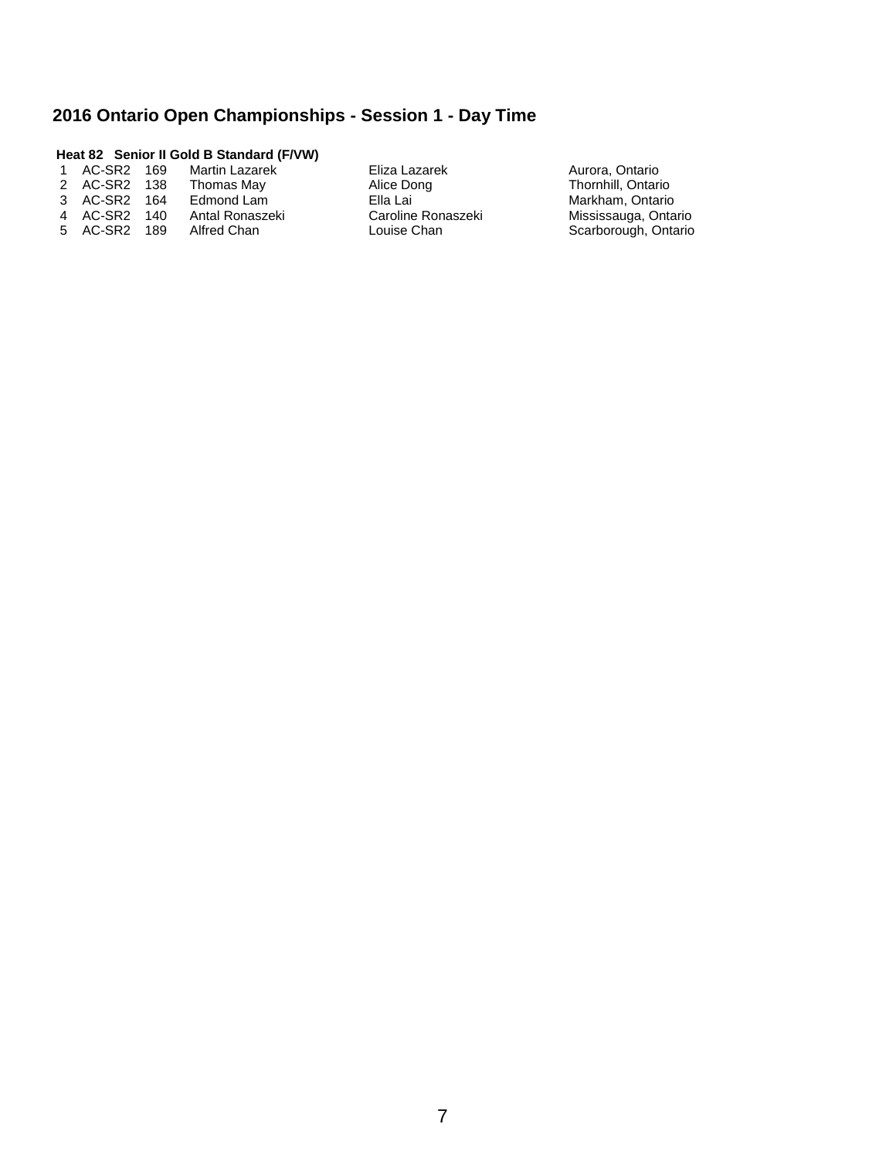#### **Heat 82 Senior II Gold B Standard (F/VW)**

| 1             | AC-SR2 169 | <b>Martin Lazarek</b> |
|---------------|------------|-----------------------|
| $\mathcal{P}$ | AC-SR2 138 | Thomas May            |
| $\mathcal{R}$ | AC-SR2 164 | Edmond Lam            |
| 4             | AC-SR2 140 | Antal Ronaszeki       |
| $5^{\circ}$   | AC-SR2 189 | Alfred Chan           |

Eliza Lazarek **169 Martin Lazarek Aurora, Ontario**<br>11 Alice Dong **Martin Lazaret Aurora, Ontario** Alice Dong Thornhill, Ontario<br>2 Ella Lai Markham, Ontario Ella Lai **Markham, Ontario Caroline Ronaszeki** Markham, Ontario Caroline Ronaszeki Mississauga, Ontario<br>
Louise Chan Mississauga, Ontario

Scarborough, Ontario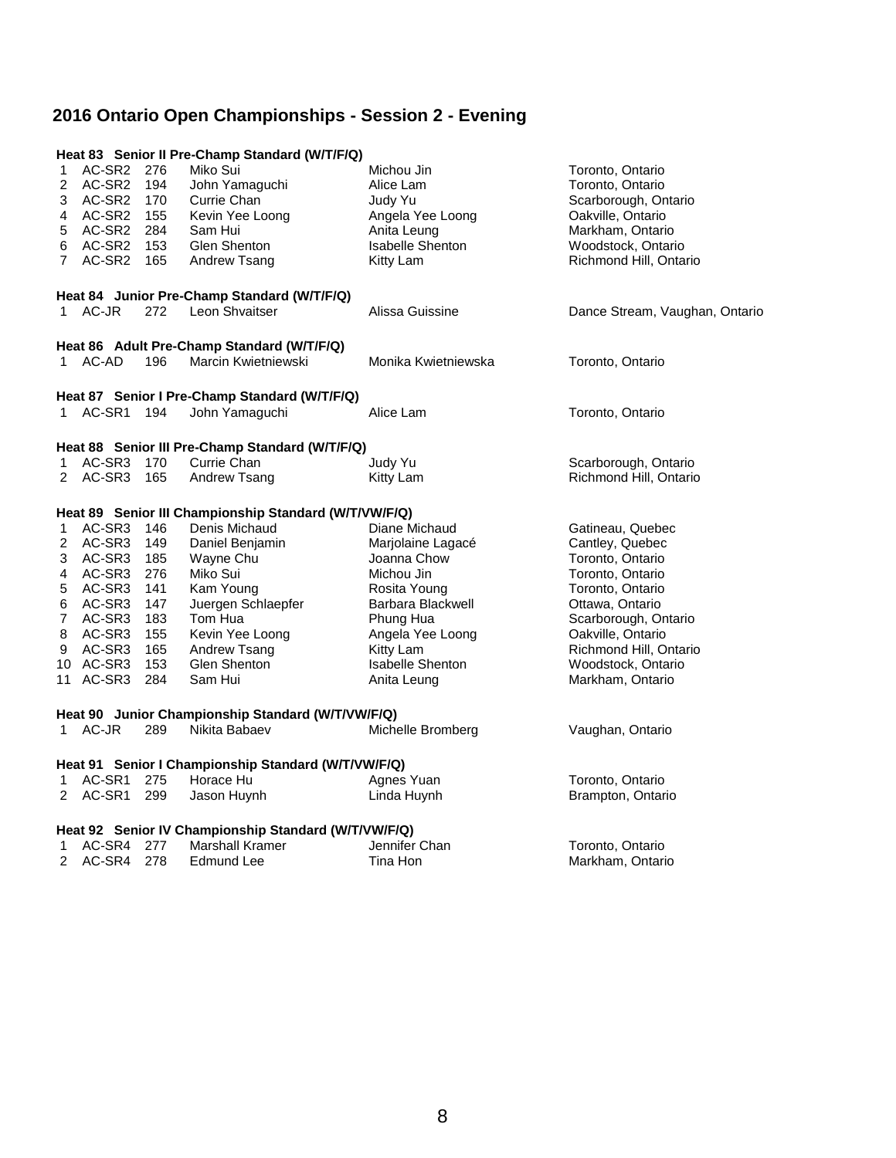## **2016 Ontario Open Championships - Session 2 - Evening**

|                |               |     | Heat 83 Senior II Pre-Champ Standard (W/T/F/Q)        |                         |                                |
|----------------|---------------|-----|-------------------------------------------------------|-------------------------|--------------------------------|
| 1              | AC-SR2 276    |     | Miko Sui                                              | Michou Jin              | Toronto, Ontario               |
| 2              | AC-SR2 194    |     | John Yamaguchi                                        | Alice Lam               | Toronto, Ontario               |
| 3              | AC-SR2 170    |     | Currie Chan                                           | Judy Yu                 | Scarborough, Ontario           |
| 4              | AC-SR2 155    |     | Kevin Yee Loong                                       | Angela Yee Loong        | Oakville, Ontario              |
| 5              | AC-SR2 284    |     | Sam Hui                                               | Anita Leung             | Markham, Ontario               |
| 6              | AC-SR2 153    |     | Glen Shenton                                          | <b>Isabelle Shenton</b> | Woodstock, Ontario             |
| $\overline{7}$ | AC-SR2 165    |     | Andrew Tsang                                          | Kitty Lam               | Richmond Hill, Ontario         |
|                |               |     | Heat 84 Junior Pre-Champ Standard (W/T/F/Q)           |                         |                                |
| 1              | AC-JR         | 272 | Leon Shvaitser                                        | Alissa Guissine         | Dance Stream, Vaughan, Ontario |
|                |               |     | Heat 86 Adult Pre-Champ Standard (W/T/F/Q)            |                         |                                |
| 1              | AC-AD         | 196 | Marcin Kwietniewski                                   | Monika Kwietniewska     | Toronto, Ontario               |
|                |               |     | Heat 87 Senior I Pre-Champ Standard (W/T/F/Q)         |                         |                                |
| 1              | AC-SR1 194    |     | John Yamaguchi                                        | Alice Lam               | Toronto, Ontario               |
|                |               |     | Heat 88 Senior III Pre-Champ Standard (W/T/F/Q)       |                         |                                |
| 1              | AC-SR3 170    |     | Currie Chan                                           | Judy Yu                 | Scarborough, Ontario           |
| 2              | AC-SR3 165    |     | Andrew Tsang                                          | Kitty Lam               | Richmond Hill, Ontario         |
|                |               |     | Heat 89 Senior III Championship Standard (W/T/VW/F/Q) |                         |                                |
| 1              | AC-SR3 146    |     | Denis Michaud                                         | Diane Michaud           | Gatineau, Quebec               |
| 2              | AC-SR3 149    |     | Daniel Benjamin                                       | Marjolaine Lagacé       | Cantley, Quebec                |
| 3              | AC-SR3 185    |     | Wayne Chu                                             | Joanna Chow             | Toronto, Ontario               |
| 4              | AC-SR3 276    |     | Miko Sui                                              | Michou Jin              | Toronto, Ontario               |
| 5              | AC-SR3 141    |     | Kam Young                                             | Rosita Young            | Toronto, Ontario               |
| 6              | AC-SR3 147    |     | Juergen Schlaepfer                                    | Barbara Blackwell       | Ottawa, Ontario                |
| 7              | AC-SR3 183    |     | Tom Hua                                               | Phung Hua               | Scarborough, Ontario           |
| 8              | AC-SR3 155    |     | Kevin Yee Loong                                       | Angela Yee Loong        | Oakville, Ontario              |
| 9              | AC-SR3        | 165 | Andrew Tsang                                          | Kitty Lam               | Richmond Hill, Ontario         |
|                | 10 AC-SR3 153 |     | Glen Shenton                                          | <b>Isabelle Shenton</b> | Woodstock, Ontario             |
|                | 11 AC-SR3 284 |     | Sam Hui                                               | Anita Leung             | Markham, Ontario               |
|                |               |     | Heat 90 Junior Championship Standard (W/T/VW/F/Q)     |                         |                                |
|                | 1 AC-JR       | 289 | Nikita Babaev                                         | Michelle Bromberg       | Vaughan, Ontario               |
|                |               |     | Heat 91 Senior I Championship Standard (W/T/VW/F/Q)   |                         |                                |
| 1              | AC-SR1 275    |     | Horace Hu                                             | Agnes Yuan              | Toronto, Ontario               |
| $\mathbf{2}$   | AC-SR1        | 299 | Jason Huynh                                           | Linda Huynh             | Brampton, Ontario              |
|                |               |     | Heat 92 Senior IV Championship Standard (W/T/VW/F/Q)  |                         |                                |
| 1              | AC-SR4 277    |     | <b>Marshall Kramer</b>                                | Jennifer Chan           | Toronto, Ontario               |
| 2              | AC-SR4        | 278 | Edmund Lee                                            | Tina Hon                | Markham, Ontario               |